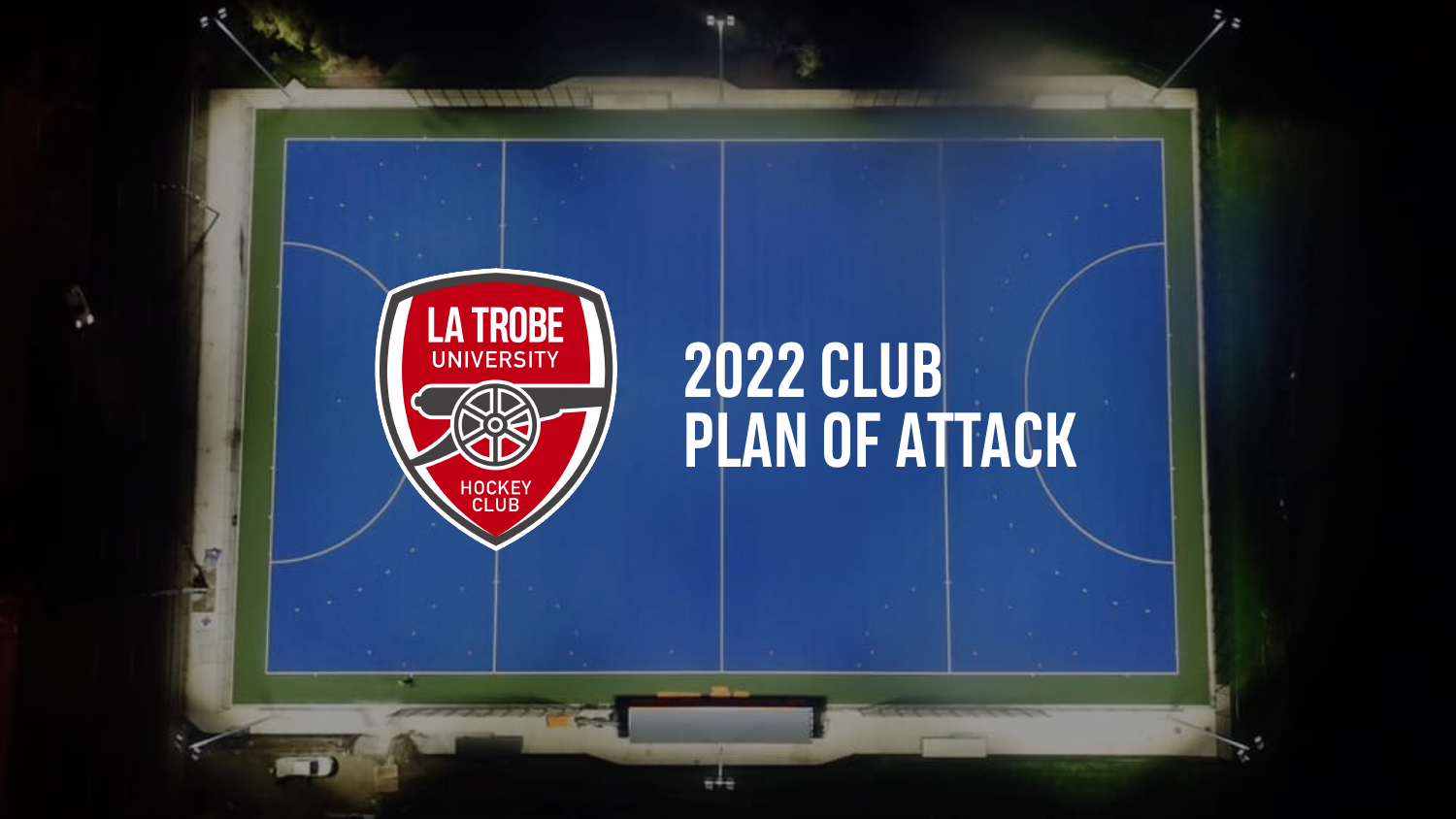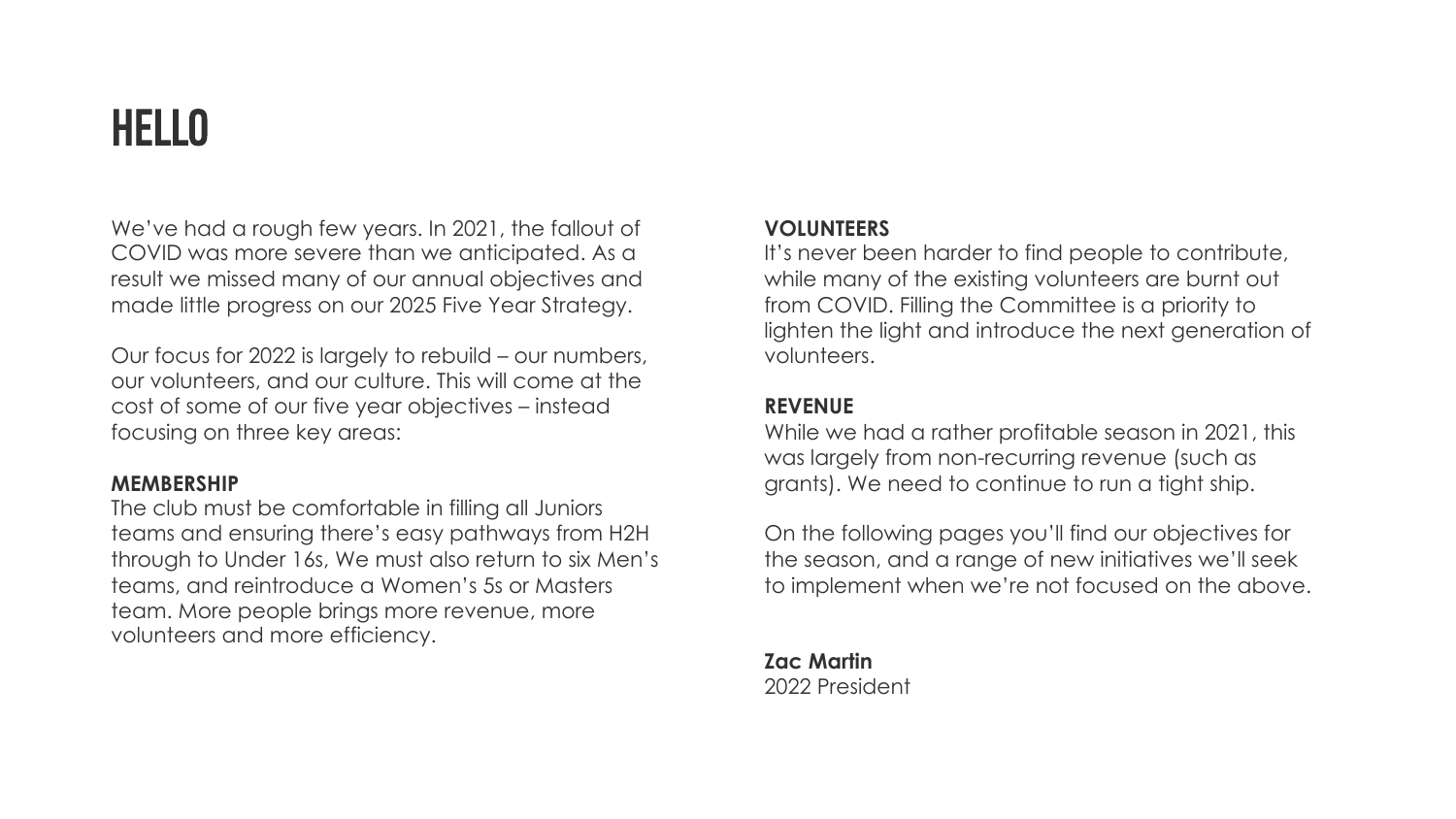## HELLO

We've had a rough few years. In 2021, the fallout of COVID was more severe than we anticipated. As a result we missed many of our annual objectives and made little progress on our 2025 Five Year Strategy.

Our focus for 2022 is largely to rebuild – our numbers, our volunteers, and our culture. This will come at the cost of some of our five year objectives – instead focusing on three key areas:

### **MEMBERSHIP**

The club must be comfortable in filling all Juniors teams and ensuring there's easy pathways from H2H through to Under 16s, We must also return to six Men's teams, and reintroduce a Women's 5s or Masters team. More people brings more revenue, more volunteers and more efficiency.

### **VOLUNTEERS**

It's never been harder to find people to contribute, while many of the existing volunteers are burnt out from COVID. Filling the Committee is a priority to lighten the light and introduce the next generation of volunteers.

#### **REVENUE**

While we had a rather profitable season in 2021, this was largely from non-recurring revenue (such as grants). We need to continue to run a tight ship.

On the following pages you'll find our objectives for the season, and a range of new initiatives we'll seek to implement when we're not focused on the above.

**Zac Martin** 2022 President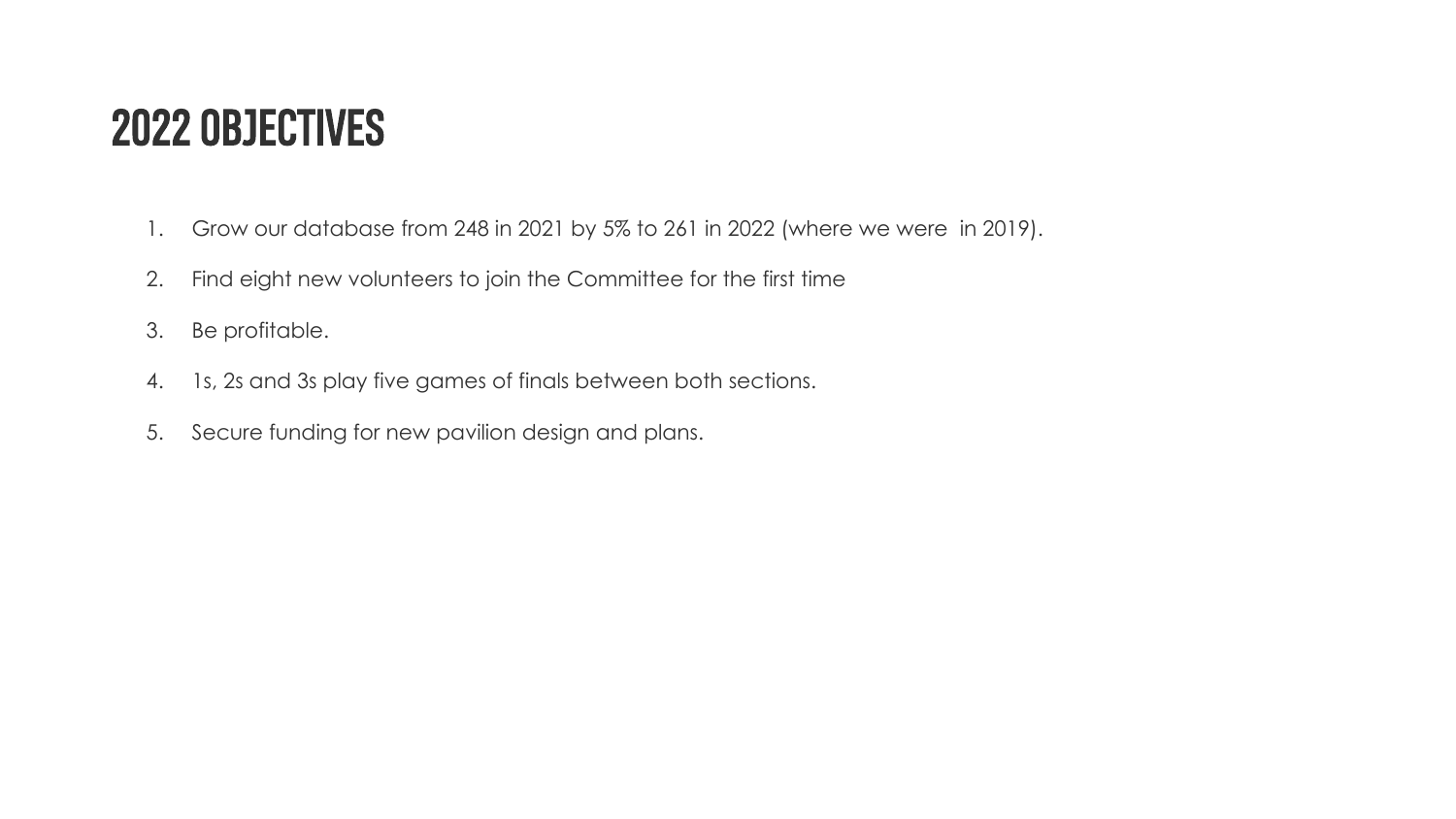### 2022 OBJECTIVES

- 1. Grow our database from 248 in 2021 by 5% to 261 in 2022 (where we were in 2019).
- 2. Find eight new volunteers to join the Committee for the first time
- 3. Be profitable.
- 4. 1s, 2s and 3s play five games of finals between both sections.
- 5. Secure funding for new pavilion design and plans.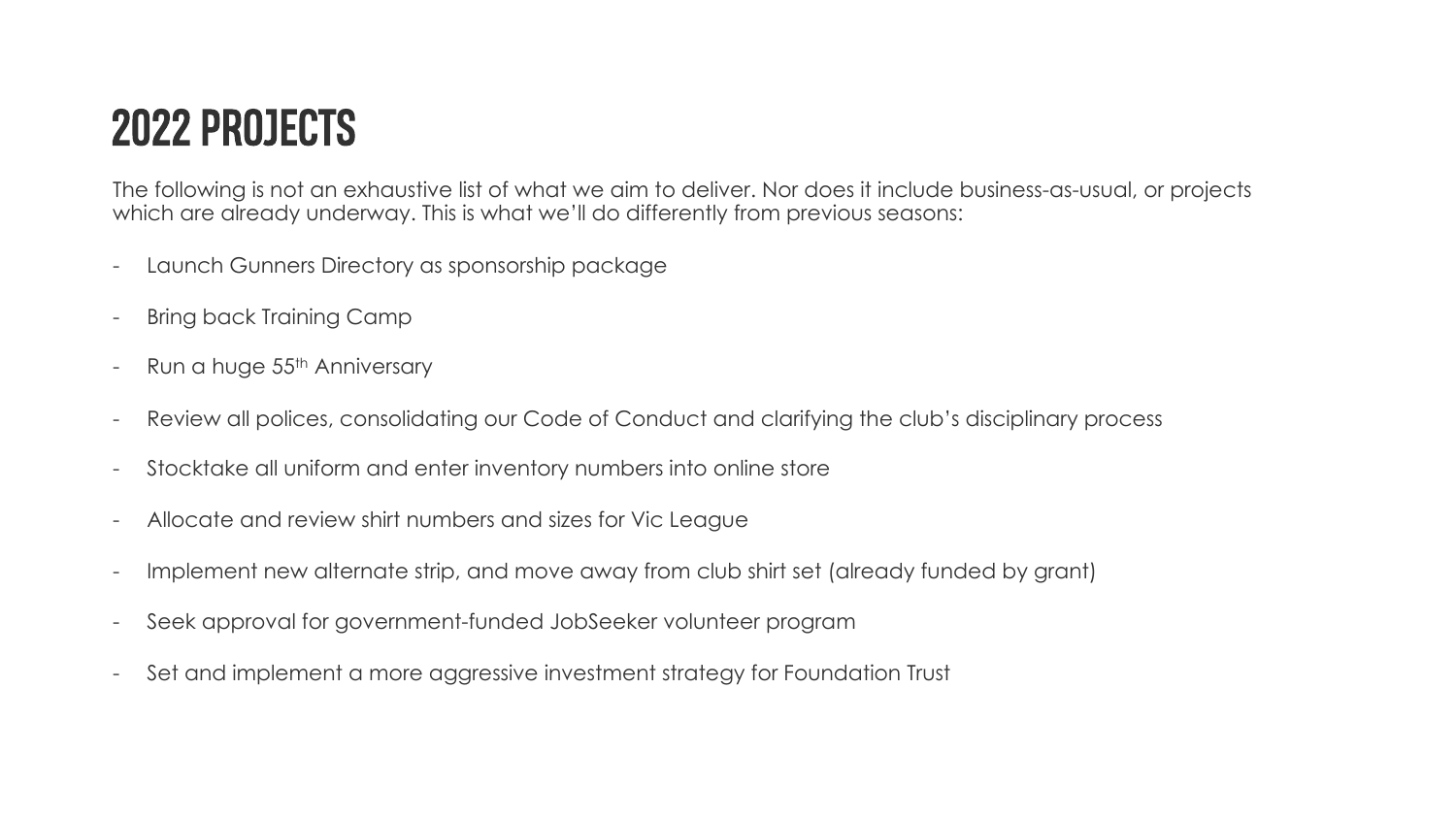# 2022 PROJECTS

The following is not an exhaustive list of what we aim to deliver. Nor does it include business-as-usual, or projects which are already underway. This is what we'll do differently from previous seasons:

- Launch Gunners Directory as sponsorship package
- **Bring back Training Camp**
- Run a huge 55<sup>th</sup> Anniversary
- Review all polices, consolidating our Code of Conduct and clarifying the club's disciplinary process
- Stocktake all uniform and enter inventory numbers into online store
- Allocate and review shirt numbers and sizes for Vic League
- Implement new alternate strip, and move away from club shirt set (already funded by grant)
- Seek approval for government-funded JobSeeker volunteer program
- Set and implement a more aggressive investment strategy for Foundation Trust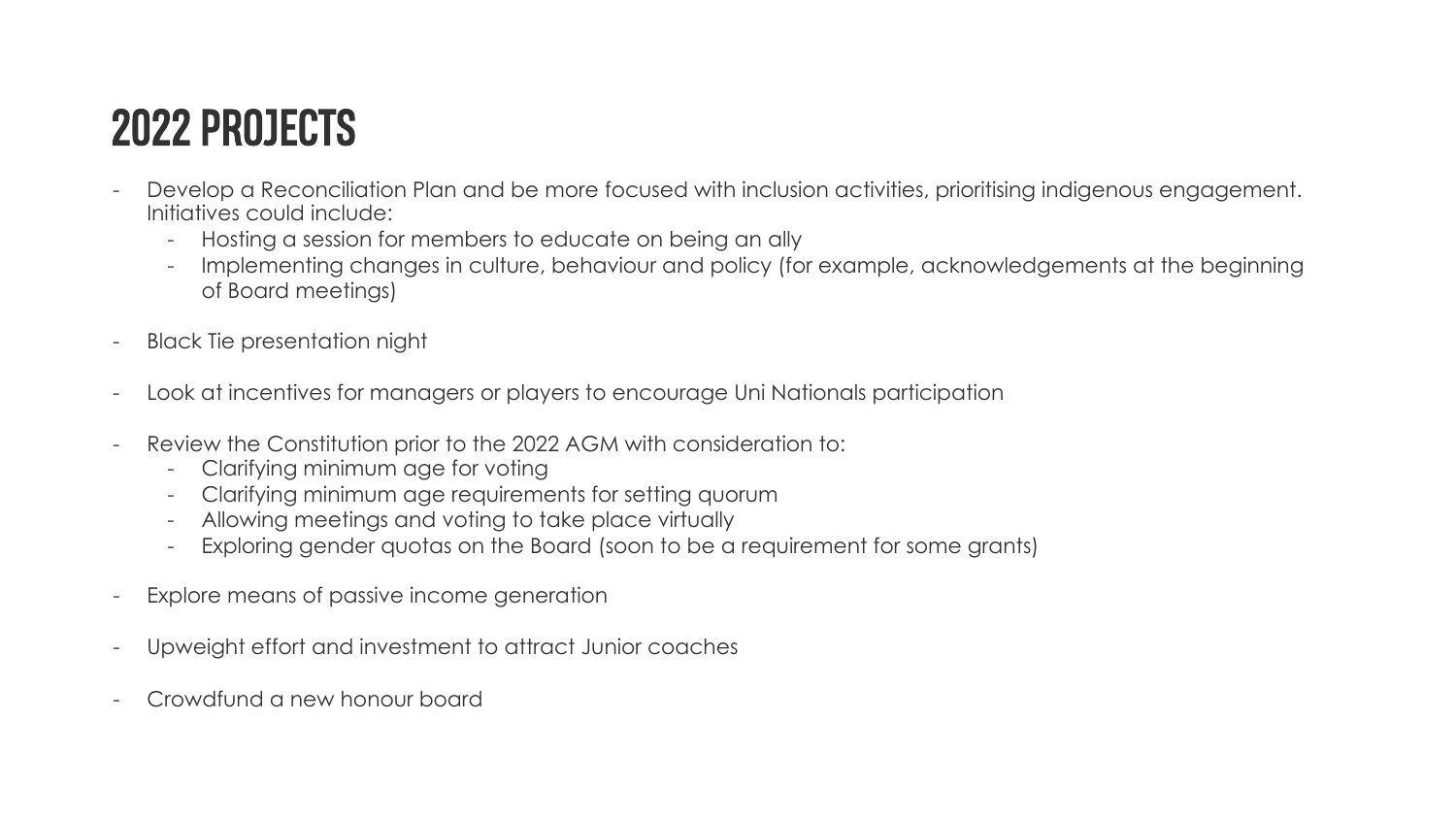# 2022 PROJECTS

- Develop a Reconciliation Plan and be more focused with inclusion activities, prioritising indigenous engagement. Initiatives could include:
	- Hosting a session for members to educate on being an ally
	- Implementing changes in culture, behaviour and policy (for example, acknowledgements at the beginning of Board meetings)
- **Black Tie presentation night**
- Look at incentives for managers or players to encourage Uni Nationals participation
- Review the Constitution prior to the 2022 AGM with consideration to:
	- Clarifying minimum age for voting
	- Clarifying minimum age requirements for setting quorum
	- Allowing meetings and voting to take place virtually
	- Exploring gender quotas on the Board (soon to be a requirement for some grants)
- Explore means of passive income generation
- Upweight effort and investment to attract Junior coaches
- Crowdfund a new honour board